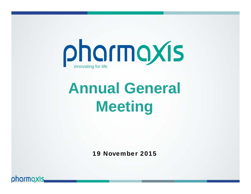

# **Annual General Meeting**

19 November 2015

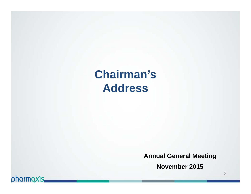# **Chairman's Address**

**Annual General Meeting**

**November 2015**

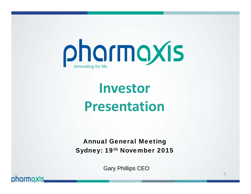

# **Investor Presentation**

Annual General Meeting Sydney: 19th November 2015

Gary Phillips CEO

pharmaxis,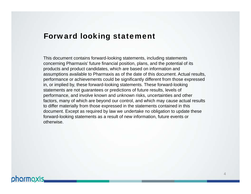### Forward looking statement

This document contains forward-looking statements, including statements concerning Pharmaxis' future financial position, plans, and the potential of its products and product candidates, which are based on information and assumptions available to Pharmaxis as of the date of this document. Actual results, performance or achievements could be significantly different from those expressed in, or implied by, these forward-looking statements. These forward-looking statements are not guarantees or predictions of future results, levels of performance, and involve known and unknown risks, uncertainties and other factors, many of which are beyond our control, and which may cause actual results to differ materially from those expressed in the statements contained in this document. Except as required by law we undertake no obligation to update these forward-looking statements as a result of new information, future events or otherwise.

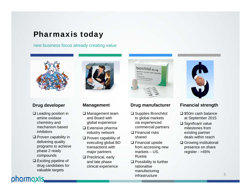### Pharmaxis today

new business focus already creating value



#### **Drug developer**

- $\square$  Leading position in amine oxidase chemistry and mechanism based inhibitors
- $\square$  Proven capability in delivering quality programs to achieve phase 2 ready compounds
- $\square$  Exciting pipeline of drug candidates for valuable targets

pharmaxis



#### **Management**

- **□** Management team and Board with global experience
- $\square$  Extensive pharma industry network
- $\square$  Proven capability of executing global BD transactions with major partners
- $\square$  Preclinical, early and late phase clinical experience



#### **Drug manufacturer**

- **□** Supplies Bronchitol to global markets via experienced commercial partners
- **□ Financial risks** shared
- $\square$  Financial upside from accessing new markets – US, Russia
- $\Box$  Possibility to further rationalise manufacturing infrastructure



#### **Financial strength**

- $\square$  \$50m cash balance at September 2015
- **□ Significant value** milestones from existing partner deals within reach
- **□ Growing institutional** presence on share register - >45%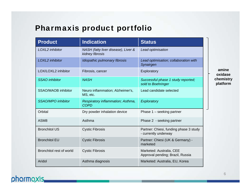# Pharmaxis product portfolio

| <b>Product</b>             | <b>Indication</b>                                      | <b>Status</b>                                                  |
|----------------------------|--------------------------------------------------------|----------------------------------------------------------------|
| LOXL2 inhibitor            | NASH (fatty liver disease), Liver &<br>kidney fibrosis | Lead optimisation                                              |
| LOXL2 inhibitor            | Idiopathic pulmonary fibrosis                          | Lead optimisation; collaboration with<br>Synairgen             |
| LOX/LOXL2 inhibitor        | Fibrosis, cancer                                       | Exploratory                                                    |
| <b>SSAO</b> inhibitor      | <b>NASH</b>                                            | Successful phase 1 study reported;<br>sold to Boehringer       |
| <b>SSAO/MAOB inhibitor</b> | Neuro inflammation; Alzheimer's,<br>MS, etc.           | Lead candidate selected                                        |
| <b>SSAO/MPO</b> inhibitor  | Respiratory inflammation; Asthma,<br><b>COPD</b>       | Exploratory                                                    |
| Orbital                    | Dry powder inhalation device                           | Phase $1 -$ seeking partner                                    |
| ASM <sub>8</sub>           | Asthma                                                 | Phase 2 - seeking partner                                      |
| <b>Bronchitol US</b>       | <b>Cystic Fibrosis</b>                                 | Partner: Chiesi, funding phase 3 study<br>- currently underway |
| <b>Bronchitol EU</b>       | <b>Cystic Fibrosis</b>                                 | Partner: Chiesi (UK & Germany) -<br>marketed                   |
| Bronchitol rest of world   | <b>Cystic Fibrosis</b>                                 | Marketed: Australia, CEE<br>Approval pending; Brazil, Russia   |
| Aridol                     | Asthma diagnosis                                       | Marketed: Australia, EU, Korea                                 |

**amine oxidase chemistry platform**

# pharmaxis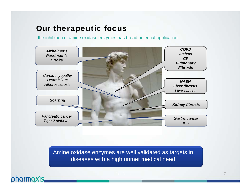### Our therapeutic focus

the inhibition of amine oxidase enzymes has broad potential application



Amine oxidase enzymes are well validated as targets in diseases with a high unmet medical need

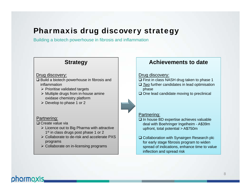# Pharmaxis drug discovery strategy

Building a biotech powerhouse in fibrosis and inflammation

### **Strategy**

#### Drug discovery:

- $\square$  Build a biotech powerhouse in fibrosis and inflammation
	- $\triangleright$  Prioritise validated targets
	- $\triangleright$  Multiple drugs from in-house amine oxidase chemistry platform
	- $\triangleright$  Develop to phase 1 or 2

#### Partnering:

**□ Create value via** 

- $\triangleright$  Licence out to Big Pharma with attractive 1<sup>st</sup> in class drugs post phase 1 or 2
- Collaborate to de-risk and accelerate PXS programs
- $\triangleright$  Collaborate on in-licensing programs

### **Achievements to date**

#### Drug discovery:

- $\Box$  First in class NASH drug taken to phase 1
- *Two* further candidates in lead optimisation phase
- $\square$  One lead candidate moving to preclinical

#### Partnering:

- $\square$  In house BD expertise achieves valuable deal with Boehringer Ingelheim - A\$39m upfront, total potential > A\$750m
- **□ Collaboration with Synairgen Research plc** for early stage fibrosis program to widen spread of indications, enhance time to value inflection and spread risk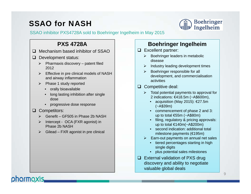# SSAO for NASH



#### SSAO inhibitor PXS4728A sold to Boehringer Ingelheim in May 2015

### **PXS 4728A**

- $\Box$  Mechanism based inhibitor of SSAO
- Development status:
	- $\triangleright$  Pharmaxis discovery patent filed 2012
	- $\triangleright$  Effective in pre clinical models of NASH and airway inflammation
	- $\triangleright$  Phase 1 study reported
		- orally bioavailable
		- long lasting inhibition after single dose
		- $\bullet$ progressive dose response

#### **Q** Competitors:

- $\triangleright$  Genefit GF505 in Phase 2b NASH
- Intercept OCA (FXR agonist) in Phase 2b NASH
- $\triangleright$  Gilead FXR agonist in pre clinical

### **Boehringer Ingelheim**

- **Excellent partner:** 
	- $\triangleright$  Boehringer leaders in metabolic disease
	- $\triangleright$  Industry leading development times
	- ➤ Boehringer responsible for all development, and commercialisation activities
- $\Box$  Competitive deal:
	- $\triangleright$  Total potential payments to approval for 2 indications: €418.5m (~A\$600m),
		- acquisition (May 2015): €27.5m (~A\$39m)
		- commencement of phase 2 and 3: up to total €55m (~A\$80m)
		- filing, regulatory & pricing approvals: up to total €140m(~A\$200m)
		- second indication: additional total milestone payments (€195m)
	- $\triangleright$  Earn-out payments on annual net sales
		- tiered percentages starting in high single digits
		- plus potential sales milestones
- $\Box$  External validation of PXS drug discovery and ability to negotiate valuable global deals

# pharmaxis.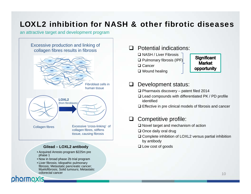# LOXL2 inhibition for NASH & other fibrotic diseases

an attractive target and development program



#### **Gilead – LOXL2 antibody**

- Acquired Arresto program \$225m pre phase 1
- Now in broad phase 2b trial program
- Liver fibrosis; Idiopathic pulmonary fibrosis; Metastatic pancreatic cancer; Myelofibrosis; Solid tumours; Metastatic colorectal cancer

### **Q** Potential indications:

- NASH / Liver Fibrosis  $\square$  Pulmonary fibrosis (IPF)
- **□ Cancer**
- Wound healing

#### **Significant Market** opportunity

### Development status:

- Pharmaxis discovery patent filed 2014
- $\square$  Lead compounds with differentiated PK / PD profile identified
- $\square$  Effective in pre clinical models of fibrosis and cancer

### $\Box$  Competitive profile:

- $\square$  Novel target and mechanism of action
- **□** Once daily oral drug
- $\square$  Complete inhibition of LOXL2 versus partial inhibition by antibody
- Low cost of goods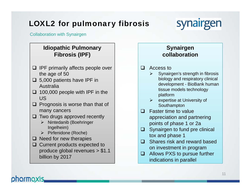# LOXL2 for pulmonary fibrosis



Collaboration with Synairgen

### **Idiopathic Pulmonary Fibrosis (IPF)**

- $\Box$  IPF primarily affects people over the age of 50
- $\Box$  5,000 patients have IPF in Australia
- $\Box$  100,000 people with IPF in the US
- $\Box$  Prognosis is worse than that of many cancers
- $\Box$  Two drugs approved recently
	- $\triangleright$  Nintedanib (Boehringer Ingelheim)
	- $\triangleright$  Pirfenidone (Roche)
- $\Box$  Need for new therapies
- **□** Current products expected to produce global revenues > \$1.1 billion by 2017

### **Synairgen collaboration**

#### $\Box$ Access to

- $\blacktriangleright$  Synairgen's strength in fibrosis biology and respiratory clinical development - BioBank human tissue models technology platform
- $\triangleright$  expertise at University of Southampton
- $\Box$  Faster time to value appreciation and partnering points of phase 1 or 2a
- $\Box$  Synairgen to fund pre clinical tox and phase 1
- $\Box$  Shares risk and reward based on investment in program
- **□** Allows PXS to pursue further indications in parallel

# pharmaxis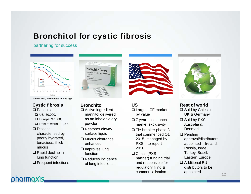# Bronchitol for cystic fibrosis

partnering for success



**Median FEV1 % Predicted versus Age**

#### **□ Patients Cystic fibrosis**

- $\Box$  US: 30,000;
- Europe: 37,000;
- $\Box$  Rest of world: 21,000
- **□** Disease characterised by poorly hydrated, tenacious, thick mucus
- **□ Rapid decline in** lung function

pharmaxis.

**□** Frequent infections



**Bronchitol**

- **□** Active ingredient mannitol delivered as an inhalable dry powder
- **□** Restores airway surface liquid
- $\square$  Mucus clearance enhanced
- $\square$  Improves lung function
- **□ Reduces incidence** of lung infections



### **US**

- **□ Largest CF market** by value
- $\square$  7 year post launch market exclusivity
- $\square$  Tie-breaker phase 3 trial commenced Q1 2015, managed by PXS – to report 2016
- $\square$  Chiesi (PXS partner) funding trial and responsible for regulatory filing & commercialisation



**□** Sold by Chiesi in UK & Germany **Rest of world**

- $\square$  Sold by PXS in Australia & **Denmark**
- $\square$  Pending approval/distributors appointed – Ireland, Russia, Israel, Turkey, Brazil, Eastern Europe
- Additional EU distributors to be appointed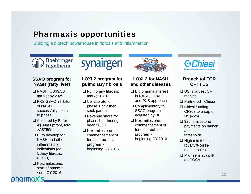## Pharmaxis opportunities

Building a biotech powerhouse in fibrosis and inflammation

### **Boehringer** Ingelheim

### **SSAO program for NASH (fatty liver)**

- NASH: US\$3.5B market by 2025
- PXS SSAO inhibitor of NASH successfully taken to phase 1
- $\Box$  Acquired by BI for A\$39m upfront, total >A\$750m
- BI to develop for NASH and other inflammatory indications (eg. kidney fibrosis, COPD)
- □ Next milestone: start of phase 2 ~end CY 2016

# **LOXL2 program for**

synairgen

# **pulmonary fibrosis**

- **□ Pulmonary fibrosis:** market >\$1B
- **□ Collaborate to** phase 1 or 2 then seek partner
- **□** Revenue share for phase 1 partnering deal: 50/50
- $\square$  Next milestone commencement of formal preclinical program ~ beginning CY 2016



#### **LOXL2 for NASH and other diseases**

- $\square$  Big pharma interest in NASH, LOXL2 and PXS approach
- **□ Complimentary to** SSAO program acquired by BI
- $\square$  Next milestone commencement of formal preclinical program ~ beginning CY 2016



### **Bronchitol FOR CF in US**

- **□ US is largest CF** market
- Partnered Chiesi
- **□ Chiesi funding** CF303 to a cap of US\$22m
- $\square$  \$25m milestone payments on launch and sales thresholds
- $\square$  High mid teens royalty% on inmarket sales
- Mid teens % uplift on COGs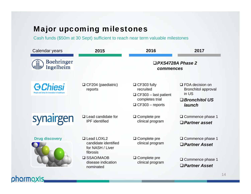# Major upcoming milestones

Cash funds (\$50m at 30 Sept) sufficient to reach near term valuable milestones

| Calendar years                 | 2015                                                                 | 2016                                                                                                        | 2017                                                                                            |
|--------------------------------|----------------------------------------------------------------------|-------------------------------------------------------------------------------------------------------------|-------------------------------------------------------------------------------------------------|
| <b>Boehringer</b><br>Ingelheim |                                                                      | $\square$ PXS4728A Phase 2<br>commences                                                                     |                                                                                                 |
| <b>G</b> Chiesi                | $\Box$ CF204 (paediatric)<br>reports                                 | $\Box$ CF303 fully<br>recruited<br>$\Box$ CF303 – last patient<br>completes trial<br>$\Box$ CF303 - reports | $\Box$ FDA decision on<br><b>Bronchitol approval</b><br>in US<br>$\Box$ Bronchitol US<br>launch |
| synairgen                      | $\Box$ Lead candidate for<br><b>IPF</b> identified                   | $\Box$ Complete pre<br>clinical program                                                                     | $\Box$ Commence phase 1<br>$\Box$ Partner asset                                                 |
| <b>Drug discovery</b>          | □ Lead LOXL2<br>candidate identified<br>for NASH / Liver<br>fibrosis | □ Complete pre<br>clinical program                                                                          | $\Box$ Commence phase 1<br>$\Box$ Partner Asset                                                 |
|                                | <b>□ SSAO/MAOB</b><br>disease indication<br>nominated                | $\Box$ Complete pre<br>clinical program                                                                     | $\Box$ Commence phase 1<br>$\Box$ Partner Asset                                                 |
| pharmaxis,                     |                                                                      |                                                                                                             |                                                                                                 |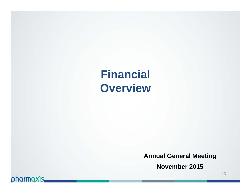**Financial Overview**

**Annual General Meeting**

**November 2015**

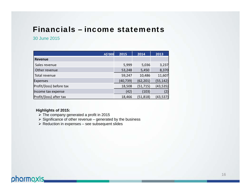## Financials – income statements

#### 30 June 2015

|                          | A\$'000 | 2015      | 2014      | 2013      |
|--------------------------|---------|-----------|-----------|-----------|
| <b>Revenue</b>           |         |           |           |           |
| Sales revenue            |         | 5,999     | 5,036     | 3,237     |
| Other revenue            |         | 53,248    | 5,450     | 8,370     |
| Total revenue            |         | 59,247    | 10,486    | 11,607    |
| Expenses                 |         | (40, 739) | (62, 201) | (55, 142) |
| Profit/(loss) before tax |         | 18,508    | (51, 715) | (43, 535) |
| Income tax expense       |         | (42)      | (103)     | (2)       |
| Profit/(loss) after tax  |         | 18,466    | (51, 818) | (43, 537) |

#### **Highlights of 2015:**

- $\triangleright$  The company generated a profit in 2015
- $\triangleright$  Significance of other revenue generated by the business
- $\triangleright$  Reduction in expenses see subsequent slides

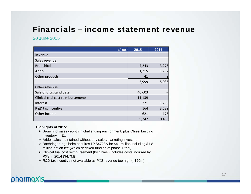# Financials – income statement revenue

#### 30 June 2015

|                                    | A\$'000 | 2015   | 2014           |
|------------------------------------|---------|--------|----------------|
| <b>Revenue</b>                     |         |        |                |
| Sales revenue                      |         |        |                |
| <b>Bronchitol</b>                  |         | 4,243  | 3,275          |
| Aridol                             |         | 1,715  | 1,752          |
| Other products                     |         | 41     | $\overline{9}$ |
|                                    |         | 5,999  | 5,036          |
| Other revenue                      |         |        |                |
| Sale of drug candidate             |         | 40,603 |                |
| Clinical trial cost reimbursements |         | 11,139 |                |
| Interest                           |         | 721    | 1,735          |
| R&D tax incentive                  |         | 164    | 3,539          |
| Other income                       |         | 621    | 176            |
|                                    |         | 59,247 | 10,486         |

#### **Highlights of 2015:**

- Bronchitol sales growth in challenging environment, plus Chiesi building inventory in EU
- $\triangleright$  Aridol sales maintained without any sales/marketing investment
- Boehringer Ingelheim acquires PXS4728A for \$41 million including \$1.8 million option fee (which derisked funding of phase 1 trial)
- Clinical trial cost reimbursement (by Chiesi) includes costs incurred by PXS in 2014 (\$4.7M)
- R&D tax incentive not available as PXS revenue too high (>\$20m)

### pharmaxis.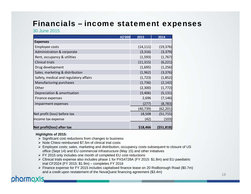# Financials – income statement expenses

30 June 2015

| A\$'000                                | 2015      | 2014       |
|----------------------------------------|-----------|------------|
| <b>Expenses</b>                        |           |            |
| <b>Employee costs</b>                  | (14, 111) | (19, 376)  |
| Administration & corporate             | (3, 316)  | (3, 379)   |
| Rent, occupancy & utilities            | (1, 593)  | (1,767)    |
| <b>Clinical trials</b>                 | (11, 315) | (6, 221)   |
| Drug development                       | (1,695)   | (1, 256)   |
| Sales, marketing & distribution        | (1, 962)  | (3, 376)   |
| Safety, medical and regulatory affairs | (1, 723)  | (1,852)    |
| Manufacturing purchases                | (1,736)   | (2, 142)   |
| Other                                  | (2,300)   | (1, 772)   |
| Depreciation & amortisation            | (3,406)   | (5, 131)   |
| Finance expenses                       | 2,696     | (7, 146)   |
| Impairment expenses                    | (277)     | (8, 783)   |
|                                        | (40, 739) | (62, 201)  |
| Net profit (loss) before tax           | 18,508    | (51, 715)  |
| Income tax expense                     | (42)      | (103)      |
| Net profit(loss) after tax             | \$18,466  | (551, 818) |

#### **Highlights of 2015:**

- $\triangleright$  Significant cost reductions from changes to business
- $\triangleright$  Note Chiesi reimbursed \$7.5m of clinical trial costs
- Employee costs; sales, marketing and distribution; occupancy costs subsequent to closure of US office (Sept 14) and EU commercial infrastructure (May 15) and other initiatives
- FY 2015 only includes one month of completed EU cost reductions
- Clinical trials expense also includes phase 1 for PXS4728A (FY 2015: \$1.8m) and EU paediatric trial CF2024 (FY 2015: \$1.9m) – completes FY 2016
- Finance expense for FY 2015 includes capitalised finance lease on 20 Rodborough Road (\$0.7m) and a credit upon restatement of the NovaQuest financing agreement (\$3.4m)

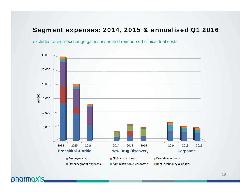### Segment expenses: 2014, 2015 & annualised Q1 2016

excludes foreign exchange gains/losses and reimbursed clinical trial costs

phormoxis.

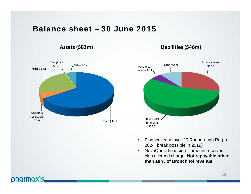### Balance sheet – 30 June 2015

### **Assets (\$83m)**

### **Liabilities (\$46m)**



- Finance lease over 20 Rodborough Rd (to 2024, break possible in 2019)
- $\bullet$  NovaQuest financing – amount received plus accrued charge. **Not repayable other than as % of Bronchitol revenue**

### pharmaxis.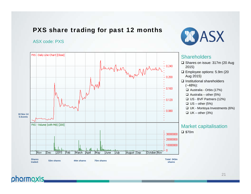### PXS share trading for past 12 months

#### ASX code: PXS





### phormoxis.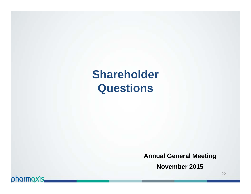**Shareholder Questions**

**Annual General Meeting**

**November 2015**

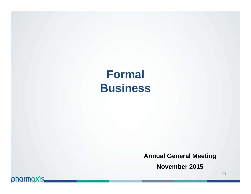# **Formal Business**

**Annual General Meeting**

**November 2015**

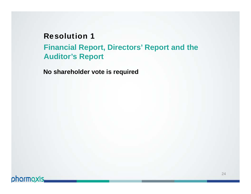# Resolution 1**Financial Report, Directors' Report and the Auditor's Report**

**No shareholder vote is required**

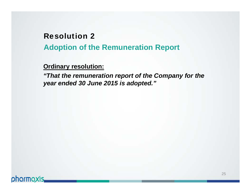# Resolution 2**Adoption of the Remuneration Report**

**Ordinary resolution:**

*"That the remuneration report of the Company for the year ended 30 June 2015 is adopted."*

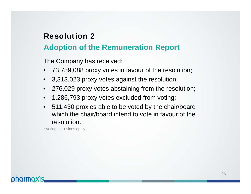### **Adoption of the Remuneration Report**

The Company has received:

- •73,759,088 proxy votes in favour of the resolution;
- 3,313,023 proxy votes against the resolution;
- •276,029 proxy votes abstaining from the resolution;
- •1,286,793 proxy votes excluded from voting;
- • 511,430 proxies able to be voted by the chair/board which the chair/board intend to vote in favour of the resolution.

\* Voting exclusions apply

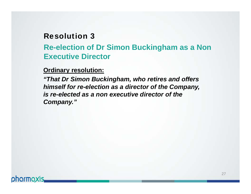# **Re-election of Dr Simon Buckingham as a Non Executive Director**

### **Ordinary resolution:**

*"That Dr Simon Buckingham, who retires and offers himself for re-election as a director of the Company, is re-elected as a non executive director of the Company."*

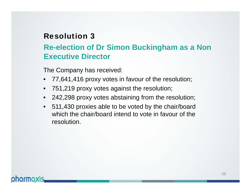# **Re-election of Dr Simon Buckingham as a Non Executive Director**

The Company has received:

- •77,641,416 proxy votes in favour of the resolution;
- •751,219 proxy votes against the resolution;
- 242,298 proxy votes abstaining from the resolution;
- • 511,430 proxies able to be voted by the chair/board which the chair/board intend to vote in favour of the resolution.

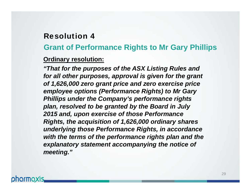### **Grant of Performance Rights to Mr Gary Phillips**

### **Ordinary resolution:**

*"That for the purposes of the ASX Listing Rules and for all other purposes, approval is given for the grant of 1,626,000 zero grant price and zero exercise price employee options (Performance Rights) to Mr Gary Phillips under the Company's performance rights plan, resolved to be granted by the Board in July 2015 and, upon exercise of those Performance Rights, the acquisition of 1,626,000 ordinary shares underlying those Performance Rights, in accordance with the terms of the performance rights plan and the explanatory statement accompanying the notice of meeting."* 

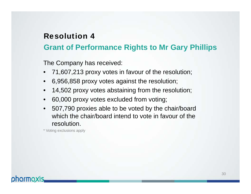# **Grant of Performance Rights to Mr Gary Phillips**

The Company has received:

- •71,607,213 proxy votes in favour of the resolution;
- •6,956,858 proxy votes against the resolution;
- $\bullet$ 14,502 proxy votes abstaining from the resolution;
- •60,000 proxy votes excluded from voting;
- • 507,790 proxies able to be voted by the chair/board which the chair/board intend to vote in favour of the resolution.

\* Voting exclusions apply

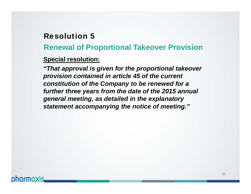**Renewal of Proportional Takeover Provision**

### **Special resolution:**

*"That approval is given for the proportional takeover provision contained in article 45 of the current constitution of the Company to be renewed for a further three years from the date of the 2015 annual general meeting, as detailed in the explanatory statement accompanying the notice of meeting."*

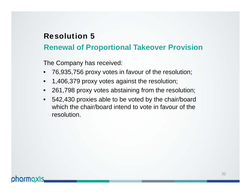### **Renewal of Proportional Takeover Provision**

The Company has received:

- •76,935,756 proxy votes in favour of the resolution;
- •1,406,379 proxy votes against the resolution;
- $\bullet$ 261,798 proxy votes abstaining from the resolution;
- • 542,430 proxies able to be voted by the chair/board which the chair/board intend to vote in favour of the resolution.

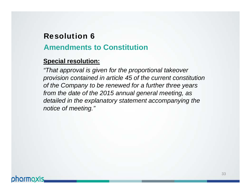# Resolution 6**Amendments to Constitution**

### **Special resolution:**

*"That approval is given for the proportional takeover provision contained in article 45 of the current constitution of the Company to be renewed for a further three years from the date of the 2015 annual general meeting, as detailed in the explanatory statement accompanying the notice of meeting."*

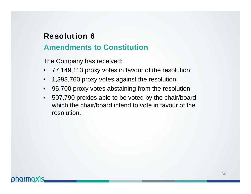### **Amendments to Constitution**

The Company has received:

- •77,149,113 proxy votes in favour of the resolution;
- $\bullet$ 1,393,760 proxy votes against the resolution;
- •95,700 proxy votes abstaining from the resolution;
- • 507,790 proxies able to be voted by the chair/board which the chair/board intend to vote in favour of the resolution.